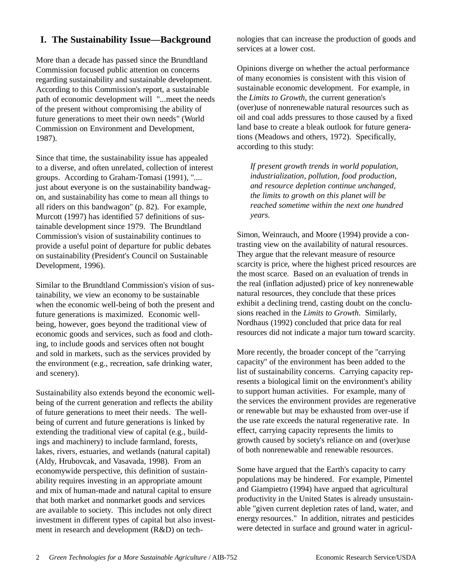## **I. The Sustainability Issue— Background**

More than a decade has passed since the Brundtland Commission focused public attention on concerns regarding sustainability and sustainable development. According to this Commission's report, a sustainable path of economic development will "...meet the needs of the present without compromising the ability of future generations to meet their own needs" (World Commission on Environment and Development, 1987).

Since that time, the sustainability issue has appealed to a diverse, and often unrelated, collection of interest groups. According to Graham-Tomasi (1991), ".... just about everyone is on the sustainability bandwagon, and sustainability has come to mean all things to all riders on this bandwagon" (p. 82). For example, Murcott (1997) has identified 57 definitions of sustainable development since 1979. The Brundtland Commission's vision of sustainability continues to provide a useful point of departure for public debates on sustainability (President's Council on Sustainable Development, 1996).

Similar to the Brundtland Commission's vision of sustainability, we view an economy to be sustainable when the economic well-being of both the present and future generations is maximized. Economic wellbeing, however, goes beyond the traditional view of economic goods and services, such as food and clothing, to include goods and services often not bought and sold in markets, such as the services provided by the environment (e.g., recreation, safe drinking water, and scenery).

Sustainability also extends beyond the economic wellbeing of the current generation and reflects the ability of future generations to meet their needs. The wellbeing of current and future generations is linked by extending the traditional view of capital (e.g., buildings and machinery) to include farmland, forests, lakes, rivers, estuaries, and wetlands (natural capital) (Aldy, Hrubovcak, and Vasavada, 1998). From an economywide perspective, this definition of sustainability requires investing in an appropriate amount and mix of human-made and natural capital to ensure that both market and nonmarket goods and services are available to society. This includes not only direct investment in different types of capital but also investment in research and development (R&D) on technologies that can increase the production of goods and services at a lower cost.

Opinions diverge on whether the actual performance of many economies is consistent with this vision of sustainable economic development. For example, in the *Limits to Growth*, the current generation's (over)use of nonrenewable natural resources such as oil and coal adds pressures to those caused by a fixed land base to create a bleak outlook for future generations (Meadows and others, 1972). Specifically, according to this study:

*If present growth trends in world population, industrialization, pollution, food production, and resource depletion continue unchanged, the limits to growth on this planet will be reached sometime within the next one hundred years.*

Simon, Weinrauch, and Moore (1994) provide a contrasting view on the availability of natural resources. They argue that the relevant measure of resource scarcity is price, where the highest priced resources are the most scarce. Based on an evaluation of trends in the real (inflation adjusted) price of key nonrenewable natural resources, they conclude that these prices exhibit a declining trend, casting doubt on the conclusions reached in the *Limits to Growth*. Similarly, Nordhaus (1992) concluded that price data for real resources did not indicate a major turn toward scarcity.

More recently, the broader concept of the "carrying capacity" of the environment has been added to the list of sustainability concerns. Carrying capacity represents a biological limit on the environment's ability to support human activities. For example, many of the services the environment provides are regenerative or renewable but may be exhausted from over-use if the use rate exceeds the natural regenerative rate. In effect, carrying capacity represents the limits to growth caused by society's reliance on and (over)use of both nonrenewable and renewable resources.

Some have argued that the Earth's capacity to carry populations may be hindered. For example, Pimentel and Giampietro (1994) have argued that agricultural productivity in the United States is already unsustainable "given current depletion rates of land, water, and energy resources." In addition, nitrates and pesticides were detected in surface and ground water in agricul